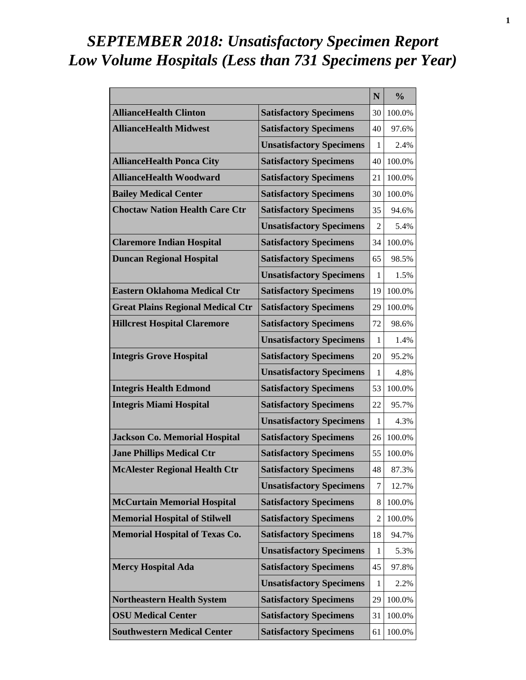# *SEPTEMBER 2018: Unsatisfactory Specimen Report Low Volume Hospitals (Less than 731 Specimens per Year)*

|                                          |                                 | N              | $\frac{0}{0}$ |
|------------------------------------------|---------------------------------|----------------|---------------|
| <b>AllianceHealth Clinton</b>            | <b>Satisfactory Specimens</b>   | 30             | 100.0%        |
| <b>AllianceHealth Midwest</b>            | <b>Satisfactory Specimens</b>   | 40             | 97.6%         |
|                                          | <b>Unsatisfactory Specimens</b> | 1              | 2.4%          |
| <b>AllianceHealth Ponca City</b>         | <b>Satisfactory Specimens</b>   | 40             | 100.0%        |
| <b>AllianceHealth Woodward</b>           | <b>Satisfactory Specimens</b>   | 21             | 100.0%        |
| <b>Bailey Medical Center</b>             | <b>Satisfactory Specimens</b>   | 30             | $100.0\%$     |
| <b>Choctaw Nation Health Care Ctr</b>    | <b>Satisfactory Specimens</b>   | 35             | 94.6%         |
|                                          | <b>Unsatisfactory Specimens</b> | 2              | 5.4%          |
| <b>Claremore Indian Hospital</b>         | <b>Satisfactory Specimens</b>   | 34             | 100.0%        |
| <b>Duncan Regional Hospital</b>          | <b>Satisfactory Specimens</b>   | 65             | 98.5%         |
|                                          | <b>Unsatisfactory Specimens</b> | 1              | 1.5%          |
| <b>Eastern Oklahoma Medical Ctr</b>      | <b>Satisfactory Specimens</b>   | 19             | 100.0%        |
| <b>Great Plains Regional Medical Ctr</b> | <b>Satisfactory Specimens</b>   | 29             | 100.0%        |
| <b>Hillcrest Hospital Claremore</b>      | <b>Satisfactory Specimens</b>   | 72             | 98.6%         |
|                                          | <b>Unsatisfactory Specimens</b> | 1              | 1.4%          |
| <b>Integris Grove Hospital</b>           | <b>Satisfactory Specimens</b>   | 20             | 95.2%         |
|                                          | <b>Unsatisfactory Specimens</b> | 1              | 4.8%          |
| <b>Integris Health Edmond</b>            | <b>Satisfactory Specimens</b>   | 53             | 100.0%        |
| <b>Integris Miami Hospital</b>           | <b>Satisfactory Specimens</b>   | 22             | 95.7%         |
|                                          | <b>Unsatisfactory Specimens</b> | 1              | 4.3%          |
| <b>Jackson Co. Memorial Hospital</b>     | <b>Satisfactory Specimens</b>   | 26             | 100.0%        |
| <b>Jane Phillips Medical Ctr</b>         | <b>Satisfactory Specimens</b>   | 55             | 100.0%        |
| <b>McAlester Regional Health Ctr</b>     | <b>Satisfactory Specimens</b>   | 48             | 87.3%         |
|                                          | <b>Unsatisfactory Specimens</b> | 7              | 12.7%         |
| <b>McCurtain Memorial Hospital</b>       | <b>Satisfactory Specimens</b>   | 8              | 100.0%        |
| <b>Memorial Hospital of Stilwell</b>     | <b>Satisfactory Specimens</b>   | $\overline{2}$ | 100.0%        |
| <b>Memorial Hospital of Texas Co.</b>    | <b>Satisfactory Specimens</b>   | 18             | 94.7%         |
|                                          | <b>Unsatisfactory Specimens</b> | 1              | 5.3%          |
| <b>Mercy Hospital Ada</b>                | <b>Satisfactory Specimens</b>   | 45             | 97.8%         |
|                                          | <b>Unsatisfactory Specimens</b> | 1              | 2.2%          |
| <b>Northeastern Health System</b>        | <b>Satisfactory Specimens</b>   | 29             | 100.0%        |
| <b>OSU Medical Center</b>                | <b>Satisfactory Specimens</b>   | 31             | 100.0%        |
| <b>Southwestern Medical Center</b>       | <b>Satisfactory Specimens</b>   | 61             | 100.0%        |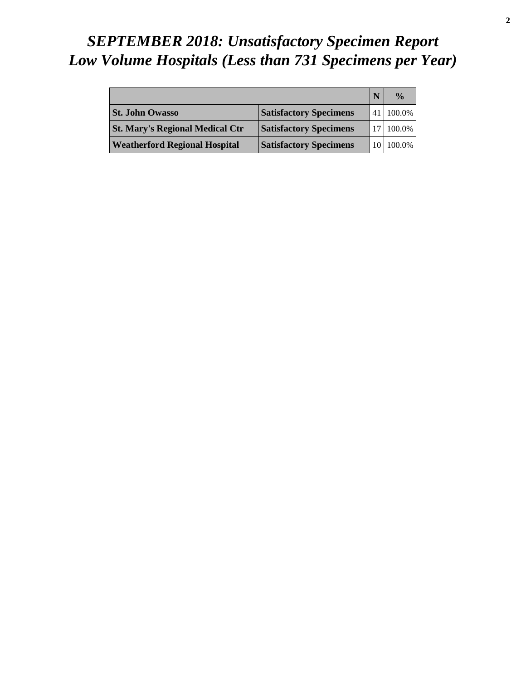# *SEPTEMBER 2018: Unsatisfactory Specimen Report Low Volume Hospitals (Less than 731 Specimens per Year)*

|                                        |                               |      | $\frac{0}{\alpha}$ |
|----------------------------------------|-------------------------------|------|--------------------|
| <b>St. John Owasso</b>                 | <b>Satisfactory Specimens</b> |      | 41 100.0%          |
| <b>St. Mary's Regional Medical Ctr</b> | <b>Satisfactory Specimens</b> |      | 17 100.0%          |
| <b>Weatherford Regional Hospital</b>   | <b>Satisfactory Specimens</b> | 10 I | 100.0%             |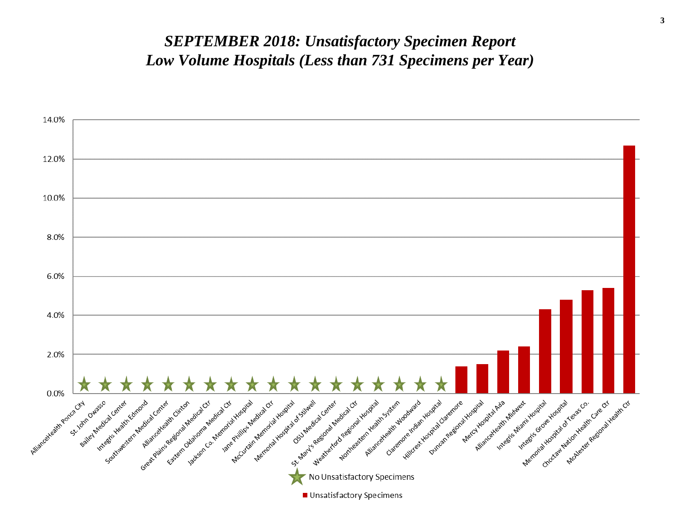#### *SEPTEMBER 2018: Unsatisfactory Specimen Report Low Volume Hospitals (Less than 731 Specimens per Year)*

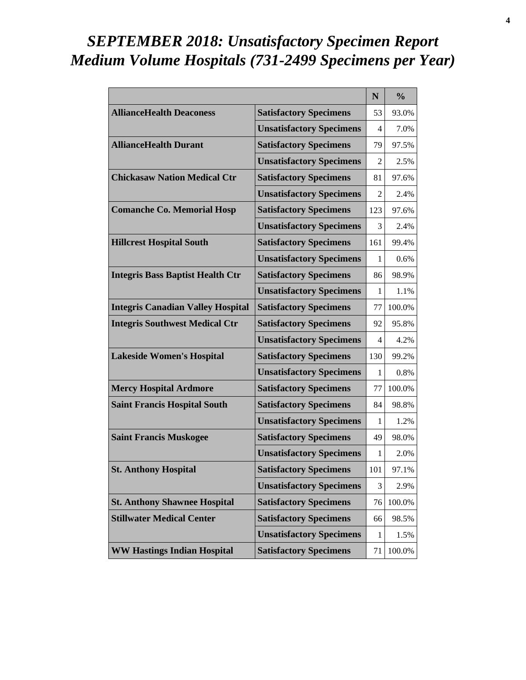# *SEPTEMBER 2018: Unsatisfactory Specimen Report Medium Volume Hospitals (731-2499 Specimens per Year)*

|                                          |                                 | $\mathbf N$ | $\frac{0}{0}$ |
|------------------------------------------|---------------------------------|-------------|---------------|
| <b>AllianceHealth Deaconess</b>          | <b>Satisfactory Specimens</b>   | 53          | 93.0%         |
|                                          | <b>Unsatisfactory Specimens</b> | 4           | 7.0%          |
| <b>AllianceHealth Durant</b>             | <b>Satisfactory Specimens</b>   | 79          | 97.5%         |
|                                          | <b>Unsatisfactory Specimens</b> | 2           | 2.5%          |
| <b>Chickasaw Nation Medical Ctr</b>      | <b>Satisfactory Specimens</b>   | 81          | 97.6%         |
|                                          | <b>Unsatisfactory Specimens</b> | 2           | 2.4%          |
| <b>Comanche Co. Memorial Hosp</b>        | <b>Satisfactory Specimens</b>   | 123         | 97.6%         |
|                                          | <b>Unsatisfactory Specimens</b> | 3           | 2.4%          |
| <b>Hillcrest Hospital South</b>          | <b>Satisfactory Specimens</b>   | 161         | 99.4%         |
|                                          | <b>Unsatisfactory Specimens</b> | 1           | 0.6%          |
| <b>Integris Bass Baptist Health Ctr</b>  | <b>Satisfactory Specimens</b>   | 86          | 98.9%         |
|                                          | <b>Unsatisfactory Specimens</b> | 1           | 1.1%          |
| <b>Integris Canadian Valley Hospital</b> | <b>Satisfactory Specimens</b>   | 77          | 100.0%        |
| <b>Integris Southwest Medical Ctr</b>    | <b>Satisfactory Specimens</b>   | 92          | 95.8%         |
|                                          | <b>Unsatisfactory Specimens</b> | 4           | 4.2%          |
| <b>Lakeside Women's Hospital</b>         | <b>Satisfactory Specimens</b>   | 130         | 99.2%         |
|                                          | <b>Unsatisfactory Specimens</b> | 1           | 0.8%          |
| <b>Mercy Hospital Ardmore</b>            | <b>Satisfactory Specimens</b>   | 77          | 100.0%        |
| <b>Saint Francis Hospital South</b>      | <b>Satisfactory Specimens</b>   | 84          | 98.8%         |
|                                          | <b>Unsatisfactory Specimens</b> | 1           | 1.2%          |
| <b>Saint Francis Muskogee</b>            | <b>Satisfactory Specimens</b>   | 49          | 98.0%         |
|                                          | <b>Unsatisfactory Specimens</b> | 1           | 2.0%          |
| <b>St. Anthony Hospital</b>              | <b>Satisfactory Specimens</b>   | 101         | 97.1%         |
|                                          | <b>Unsatisfactory Specimens</b> | 3           | 2.9%          |
| <b>St. Anthony Shawnee Hospital</b>      | <b>Satisfactory Specimens</b>   | 76          | 100.0%        |
| <b>Stillwater Medical Center</b>         | <b>Satisfactory Specimens</b>   | 66          | 98.5%         |
|                                          | <b>Unsatisfactory Specimens</b> | 1           | 1.5%          |
| <b>WW Hastings Indian Hospital</b>       | <b>Satisfactory Specimens</b>   | 71          | 100.0%        |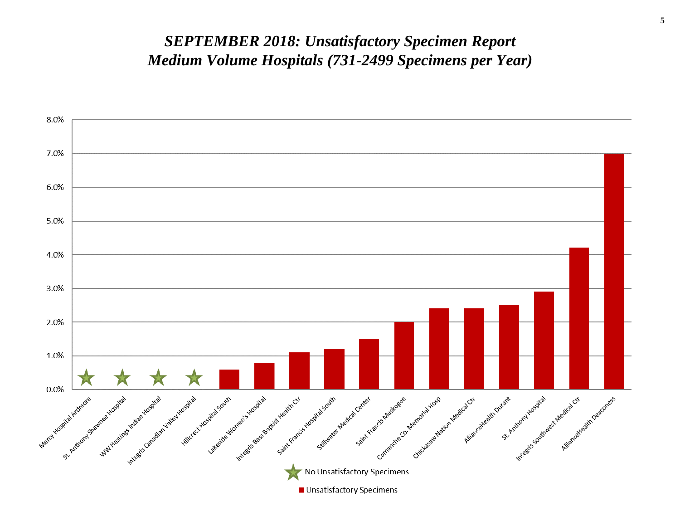#### *SEPTEMBER 2018: Unsatisfactory Specimen Report Medium Volume Hospitals (731-2499 Specimens per Year)*

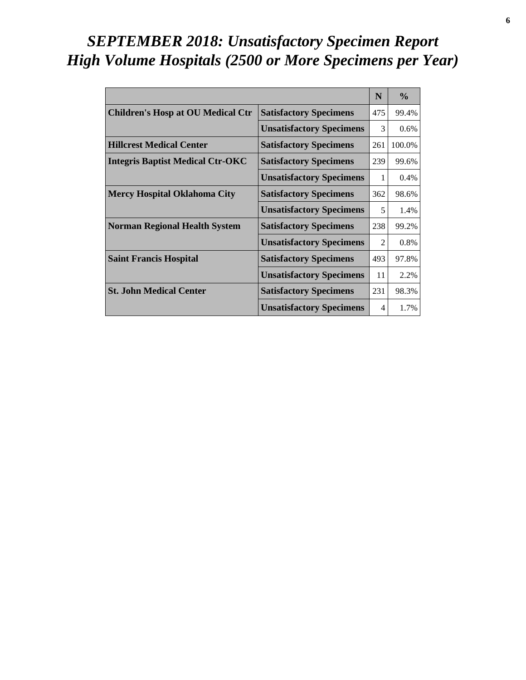# *SEPTEMBER 2018: Unsatisfactory Specimen Report High Volume Hospitals (2500 or More Specimens per Year)*

|                                          |                                 | N              | $\frac{0}{0}$ |
|------------------------------------------|---------------------------------|----------------|---------------|
| <b>Children's Hosp at OU Medical Ctr</b> | <b>Satisfactory Specimens</b>   | 475            | 99.4%         |
|                                          | <b>Unsatisfactory Specimens</b> | 3              | 0.6%          |
| <b>Hillcrest Medical Center</b>          | <b>Satisfactory Specimens</b>   | 261            | 100.0%        |
| <b>Integris Baptist Medical Ctr-OKC</b>  | <b>Satisfactory Specimens</b>   | 239            | 99.6%         |
|                                          | <b>Unsatisfactory Specimens</b> | 1              | 0.4%          |
| <b>Mercy Hospital Oklahoma City</b>      | <b>Satisfactory Specimens</b>   | 362            | 98.6%         |
|                                          | <b>Unsatisfactory Specimens</b> | 5              | 1.4%          |
| <b>Norman Regional Health System</b>     | <b>Satisfactory Specimens</b>   | 238            | 99.2%         |
|                                          | <b>Unsatisfactory Specimens</b> | $\mathfrak{D}$ | 0.8%          |
| <b>Saint Francis Hospital</b>            | <b>Satisfactory Specimens</b>   | 493            | 97.8%         |
|                                          | <b>Unsatisfactory Specimens</b> | 11             | 2.2%          |
| <b>St. John Medical Center</b>           | <b>Satisfactory Specimens</b>   | 231            | 98.3%         |
|                                          | <b>Unsatisfactory Specimens</b> | 4              | 1.7%          |